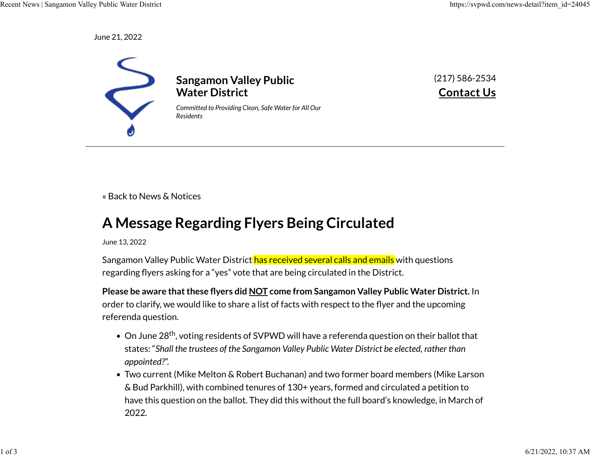June 21, 2022



(217) 586-2534 **[Contact Us](https://svpwd.com/contact-us)**

[« Back to News & Notices](https://svpwd.com/news-and-notices)

## **A Message Regarding Flyers Being Circulated**

June 13, 2022

Sangamon Valley Public Water District has received several calls and emails with questions regarding flyers asking for a "yes" vote that are being circulated in the District.

**Please be aware that these �yers did NOT come from Sangamon Valley Public Water District.** In order to clarify, we would like to share a list of facts with respect to the flyer and the upcoming referenda question.

- $\bullet$  On June 28<sup>th</sup>, voting residents of SVPWD will have a referenda question on their ballot that states: "*Shall the trustees of the Sangamon Valley Public Water District be elected, rather than appointed?*".
- Two current (Mike Melton & Robert Buchanan) and two former board members (Mike Larson & Bud Parkhill), with combined tenures of 130+ years, formed and circulated a petition to have this question on the ballot. They did this without the full board's knowledge, in March of 2022.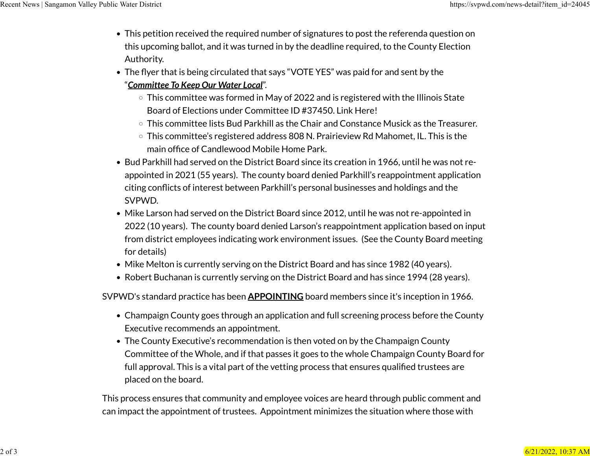- This petition received the required number of signatures to post the referenda question on this upcoming ballot, and it was turned in by the deadline required, to the County Election Authority.
- The flyer that is being circulated that says "VOTE YES" was paid for and sent by the "*Committee To Keep Our Water Local*".
	- This committee was formed in May of 2022 and is registered with the Illinois State Board of Elections under Committee ID #37450. [Link Here!](https://www.elections.il.gov/CampaignDisclosure/CommitteeDetail.aspx?ID=5OTxkumNaM2s9btyimQxjQ%3d%3d&T=637903628548956365)
	- This committee lists Bud Parkhill as the Chair and Constance Musick as the Treasurer.
	- This committee's registered address 808 N. Prairieview Rd Mahomet, IL. This is the main office of Candlewood Mobile Home Park.
- Bud Parkhill had served on the District Board since its creation in 1966, until he was not reappointed in 2021 (55 years). The county board denied Parkhill's reappointment application citing con�icts of interest between Parkhill's personal businesses and holdings and the SVPWD.
- Mike Larson had served on the District Board since 2012, until he was not re-appointed in 2022 (10 years). The county board denied Larson's reappointment application based on input from district employees indicating work environment issues. (See the County Board meeting for details)
- Mike Melton is currently serving on the District Board and has since 1982 (40 years).
- Robert Buchanan is currently serving on the District Board and has since 1994 (28 years).

SVPWD's standard practice has been **APPOINTING** board members since it's inception in 1966.

- Champaign County goes through an application and full screening process before the County Executive recommends an appointment.
- The County Executive's recommendation is then voted on by the Champaign County Committee of the Whole, and if that passes it goes to the whole Champaign County Board for full approval. This is a vital part of the vetting process that ensures qualified trustees are placed on the board.

This process ensures that community and employee voices are heard through public comment and can impact the appointment of trustees. Appointment minimizes the situation where those with